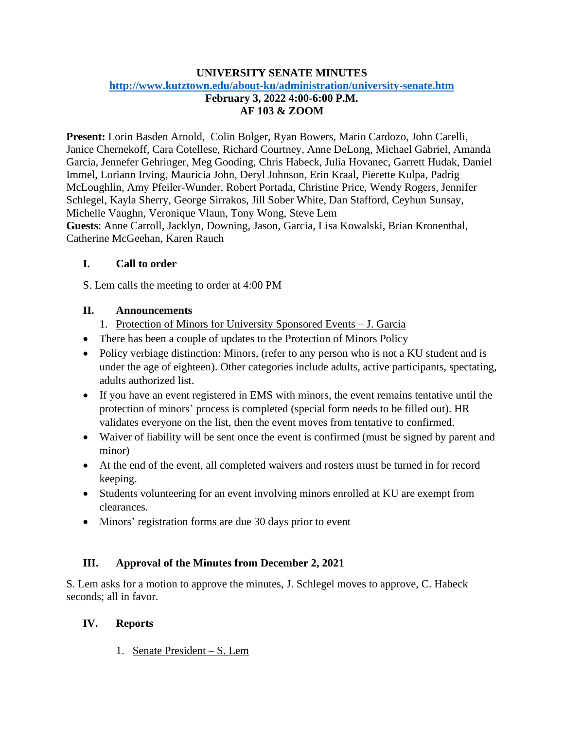## **UNIVERSITY SENATE MINUTES <http://www.kutztown.edu/about-ku/administration/university-senate.htm>**

# **February 3, 2022 4:00-6:00 P.M. AF 103 & ZOOM**

**Present:** Lorin Basden Arnold, Colin Bolger, Ryan Bowers, Mario Cardozo, John Carelli, Janice Chernekoff, Cara Cotellese, Richard Courtney, Anne DeLong, Michael Gabriel, Amanda Garcia, Jennefer Gehringer, Meg Gooding, Chris Habeck, Julia Hovanec, Garrett Hudak, Daniel Immel, Loriann Irving, Mauricia John, Deryl Johnson, Erin Kraal, Pierette Kulpa, Padrig McLoughlin, Amy Pfeiler-Wunder, Robert Portada, Christine Price, Wendy Rogers, Jennifer Schlegel, Kayla Sherry, George Sirrakos, Jill Sober White, Dan Stafford, Ceyhun Sunsay, Michelle Vaughn, Veronique Vlaun, Tony Wong, Steve Lem **Guests**: Anne Carroll, Jacklyn, Downing, Jason, Garcia, Lisa Kowalski, Brian Kronenthal, Catherine McGeehan, Karen Rauch

# **I. Call to order**

S. Lem calls the meeting to order at 4:00 PM

## **II. Announcements**

- 1. Protection of Minors for University Sponsored Events J. Garcia
- There has been a couple of updates to the Protection of Minors Policy
- Policy verbiage distinction: Minors, (refer to any person who is not a KU student and is under the age of eighteen). Other categories include adults, active participants, spectating, adults authorized list.
- If you have an event registered in EMS with minors, the event remains tentative until the protection of minors' process is completed (special form needs to be filled out). HR validates everyone on the list, then the event moves from tentative to confirmed.
- Waiver of liability will be sent once the event is confirmed (must be signed by parent and minor)
- At the end of the event, all completed waivers and rosters must be turned in for record keeping.
- Students volunteering for an event involving minors enrolled at KU are exempt from clearances.
- Minors' registration forms are due 30 days prior to event

# **III. Approval of the Minutes from December 2, 2021**

S. Lem asks for a motion to approve the minutes, J. Schlegel moves to approve, C. Habeck seconds; all in favor.

# **IV. Reports**

1. Senate President – S. Lem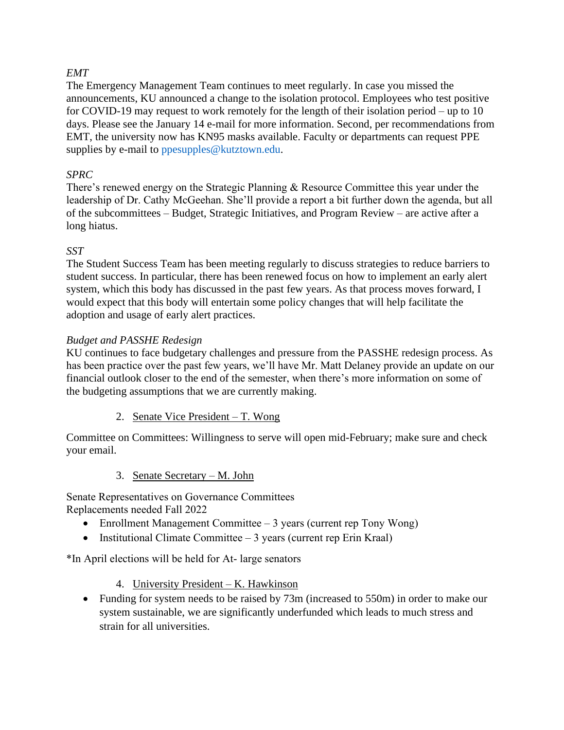## *EMT*

The Emergency Management Team continues to meet regularly. In case you missed the announcements, KU announced a change to the isolation protocol. Employees who test positive for COVID-19 may request to work remotely for the length of their isolation period – up to 10 days. Please see the January 14 e-mail for more information. Second, per recommendations from EMT, the university now has KN95 masks available. Faculty or departments can request PPE supplies by e-mail to [ppesupples@kutztown.edu.](mailto:ppesupples@kutztown.edu)

## *SPRC*

There's renewed energy on the Strategic Planning & Resource Committee this year under the leadership of Dr. Cathy McGeehan. She'll provide a report a bit further down the agenda, but all of the subcommittees – Budget, Strategic Initiatives, and Program Review – are active after a long hiatus.

### *SST*

The Student Success Team has been meeting regularly to discuss strategies to reduce barriers to student success. In particular, there has been renewed focus on how to implement an early alert system, which this body has discussed in the past few years. As that process moves forward, I would expect that this body will entertain some policy changes that will help facilitate the adoption and usage of early alert practices.

## *Budget and PASSHE Redesign*

KU continues to face budgetary challenges and pressure from the PASSHE redesign process. As has been practice over the past few years, we'll have Mr. Matt Delaney provide an update on our financial outlook closer to the end of the semester, when there's more information on some of the budgeting assumptions that we are currently making.

2. Senate Vice President – T. Wong

Committee on Committees: Willingness to serve will open mid-February; make sure and check your email.

3. Senate Secretary – M. John

Senate Representatives on Governance Committees Replacements needed Fall 2022

- Enrollment Management Committee 3 years (current rep Tony Wong)
- Institutional Climate Committee  $-3$  years (current rep Erin Kraal)

\*In April elections will be held for At- large senators

- 4. University President K. Hawkinson
- Funding for system needs to be raised by 73m (increased to 550m) in order to make our system sustainable, we are significantly underfunded which leads to much stress and strain for all universities.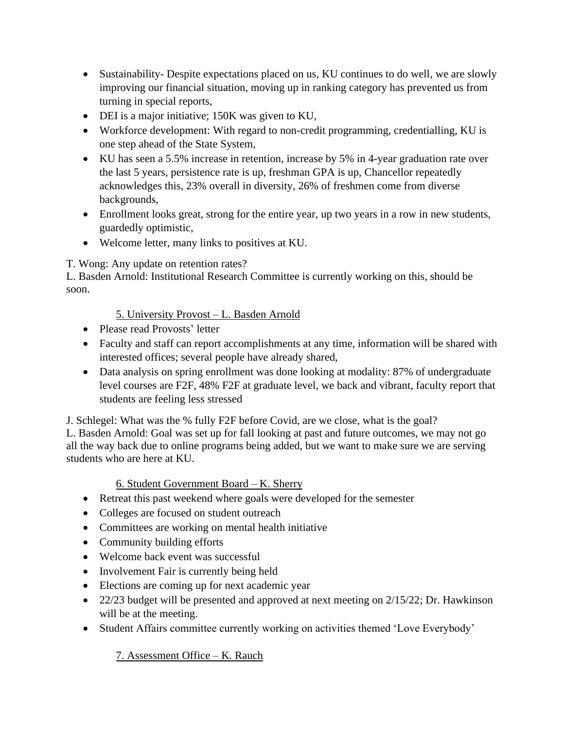- Sustainability-Despite expectations placed on us, KU continues to do well, we are slowly improving our financial situation, moving up in ranking category has prevented us from turning in special reports,
- DEI is a major initiative; 150K was given to KU,
- Workforce development: With regard to non-credit programming, credentialling, KU is one step ahead of the State System,
- KU has seen a 5.5% increase in retention, increase by 5% in 4-year graduation rate over the last 5 years, persistence rate is up, freshman GPA is up, Chancellor repeatedly acknowledges this, 23% overall in diversity, 26% of freshmen come from diverse backgrounds,
- Enrollment looks great, strong for the entire year, up two years in a row in new students, guardedly optimistic,
- Welcome letter, many links to positives at KU.

# T. Wong: Any update on retention rates?

L. Basden Arnold: Institutional Research Committee is currently working on this, should be soon.

# 5. University Provost – L. Basden Arnold

- Please read Provosts' letter
- Faculty and staff can report accomplishments at any time, information will be shared with interested offices; several people have already shared,
- Data analysis on spring enrollment was done looking at modality: 87% of undergraduate level courses are F2F, 48% F2F at graduate level, we back and vibrant, faculty report that students are feeling less stressed

J. Schlegel: What was the % fully F2F before Covid, are we close, what is the goal?

L. Basden Arnold: Goal was set up for fall looking at past and future outcomes, we may not go all the way back due to online programs being added, but we want to make sure we are serving students who are here at KU.

# 6. Student Government Board – K. Sherry

- Retreat this past weekend where goals were developed for the semester
- Colleges are focused on student outreach
- Committees are working on mental health initiative
- Community building efforts
- Welcome back event was successful
- Involvement Fair is currently being held
- Elections are coming up for next academic year
- 22/23 budget will be presented and approved at next meeting on 2/15/22; Dr. Hawkinson will be at the meeting.
- Student Affairs committee currently working on activities themed 'Love Everybody'

# 7. Assessment Office – K. Rauch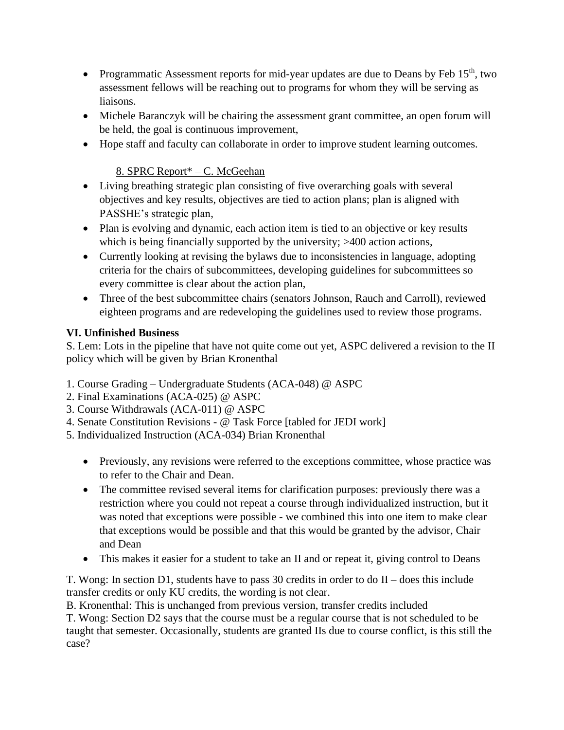- Programmatic Assessment reports for mid-year updates are due to Deans by Feb  $15<sup>th</sup>$ , two assessment fellows will be reaching out to programs for whom they will be serving as liaisons.
- Michele Baranczyk will be chairing the assessment grant committee, an open forum will be held, the goal is continuous improvement,
- Hope staff and faculty can collaborate in order to improve student learning outcomes.

## 8. SPRC Report\* – C. McGeehan

- Living breathing strategic plan consisting of five overarching goals with several objectives and key results, objectives are tied to action plans; plan is aligned with PASSHE's strategic plan,
- Plan is evolving and dynamic, each action item is tied to an objective or key results which is being financially supported by the university;  $>400$  action actions,
- Currently looking at revising the bylaws due to inconsistencies in language, adopting criteria for the chairs of subcommittees, developing guidelines for subcommittees so every committee is clear about the action plan,
- Three of the best subcommittee chairs (senators Johnson, Rauch and Carroll), reviewed eighteen programs and are redeveloping the guidelines used to review those programs.

## **VI. Unfinished Business**

S. Lem: Lots in the pipeline that have not quite come out yet, ASPC delivered a revision to the II policy which will be given by Brian Kronenthal

- 1. Course Grading Undergraduate Students (ACA-048) @ ASPC
- 2. Final Examinations (ACA-025) @ ASPC
- 3. Course Withdrawals (ACA-011) @ ASPC
- 4. Senate Constitution Revisions @ Task Force [tabled for JEDI work]
- 5. Individualized Instruction (ACA-034) Brian Kronenthal
	- Previously, any revisions were referred to the exceptions committee, whose practice was to refer to the Chair and Dean.
	- The committee revised several items for clarification purposes: previously there was a restriction where you could not repeat a course through individualized instruction, but it was noted that exceptions were possible - we combined this into one item to make clear that exceptions would be possible and that this would be granted by the advisor, Chair and Dean
	- This makes it easier for a student to take an II and or repeat it, giving control to Deans

T. Wong: In section D1, students have to pass 30 credits in order to do II – does this include transfer credits or only KU credits, the wording is not clear.

B. Kronenthal: This is unchanged from previous version, transfer credits included

T. Wong: Section D2 says that the course must be a regular course that is not scheduled to be taught that semester. Occasionally, students are granted IIs due to course conflict, is this still the case?